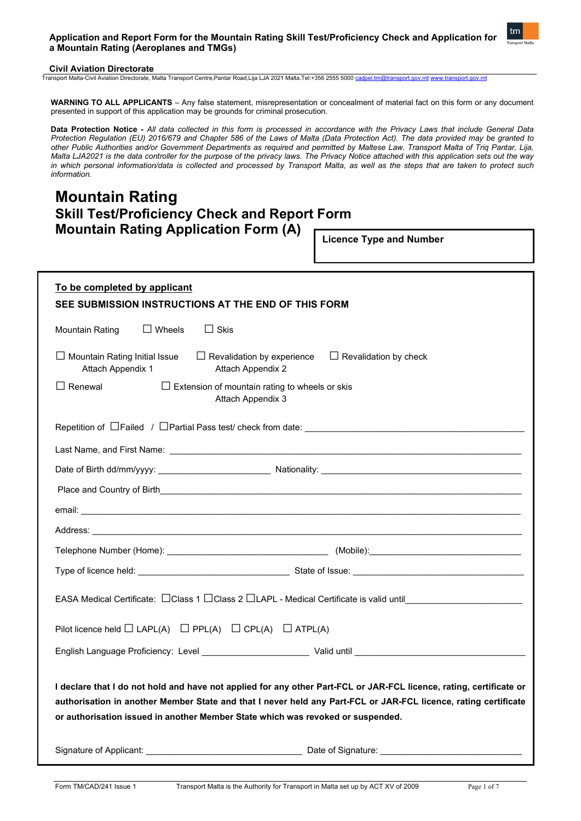## **Application and Report Form for the Mountain Rating Skill Test/Proficiency Check and Application for a Mountain Rating (Aeroplanes and TMGs)**



# **Civil Aviation Directorate**

Transport Malta-Civil Aviation Directorate, Malta Transport Centre,Pantar Road,Lija LJA 2021 Malta.Tel:+356 2555 5000 [cadpel.tm@transport.gov.mt](mailto:cadpel.tm@transport.gov.mt) [www.transport.gov.mt](http://www.transport.gov.mt/)

**WARNING TO ALL APPLICANTS** – Any false statement, misrepresentation or concealment of material fact on this form or any document presented in support of this application may be grounds for criminal prosecution.

**Data Protection Notice -** *All data collected in this form is processed in accordance with the Privacy Laws that include General Data Protection Regulation (EU) 2016/679 and Chapter 586 of the Laws of Malta (Data Protection Act). The data provided may be granted to other Public Authorities and/or Government Departments as required and permitted by Maltese Law. Transport Malta of Triq Pantar, Lija, Malta LJA2021 is the data controller for the purpose of the privacy laws. The Privacy Notice attached with this application sets out the way in which personal information/data is collected and processed by Transport Malta, as well as the steps that are taken to protect such information.*

# **Mountain Rating Skill Test/Proficiency Check and Report Form Mountain Rating Application Form (A)**

**Licence Type and Number** 

| To be completed by applicant<br>SEE SUBMISSION INSTRUCTIONS AT THE END OF THIS FORM                                                                                                                                                                                                                                       |  |  |  |
|---------------------------------------------------------------------------------------------------------------------------------------------------------------------------------------------------------------------------------------------------------------------------------------------------------------------------|--|--|--|
| $\Box$ Wheels<br>$\Box$ Skis<br>Mountain Rating                                                                                                                                                                                                                                                                           |  |  |  |
| $\Box$ Revalidation by experience<br>$\Box$ Mountain Rating Initial Issue<br>$\Box$ Revalidation by check<br>Attach Appendix 1<br>Attach Appendix 2                                                                                                                                                                       |  |  |  |
| $\Box$ Renewal<br>$\Box$ Extension of mountain rating to wheels or skis<br>Attach Appendix 3                                                                                                                                                                                                                              |  |  |  |
|                                                                                                                                                                                                                                                                                                                           |  |  |  |
|                                                                                                                                                                                                                                                                                                                           |  |  |  |
|                                                                                                                                                                                                                                                                                                                           |  |  |  |
|                                                                                                                                                                                                                                                                                                                           |  |  |  |
|                                                                                                                                                                                                                                                                                                                           |  |  |  |
|                                                                                                                                                                                                                                                                                                                           |  |  |  |
|                                                                                                                                                                                                                                                                                                                           |  |  |  |
|                                                                                                                                                                                                                                                                                                                           |  |  |  |
| EASA Medical Certificate: CClass 1 CClass 2 CLAPL - Medical Certificate is valid until Letter Medical Certificate is                                                                                                                                                                                                      |  |  |  |
| Pilot licence held $\Box$ LAPL(A) $\Box$ PPL(A) $\Box$ CPL(A) $\Box$ ATPL(A)                                                                                                                                                                                                                                              |  |  |  |
|                                                                                                                                                                                                                                                                                                                           |  |  |  |
| I declare that I do not hold and have not applied for any other Part-FCL or JAR-FCL licence, rating, certificate or<br>authorisation in another Member State and that I never held any Part-FCL or JAR-FCL licence, rating certificate<br>or authorisation issued in another Member State which was revoked or suspended. |  |  |  |
| Signature of Applicant: Network and Signature Date of Signature: Network and Signature of Applicant:                                                                                                                                                                                                                      |  |  |  |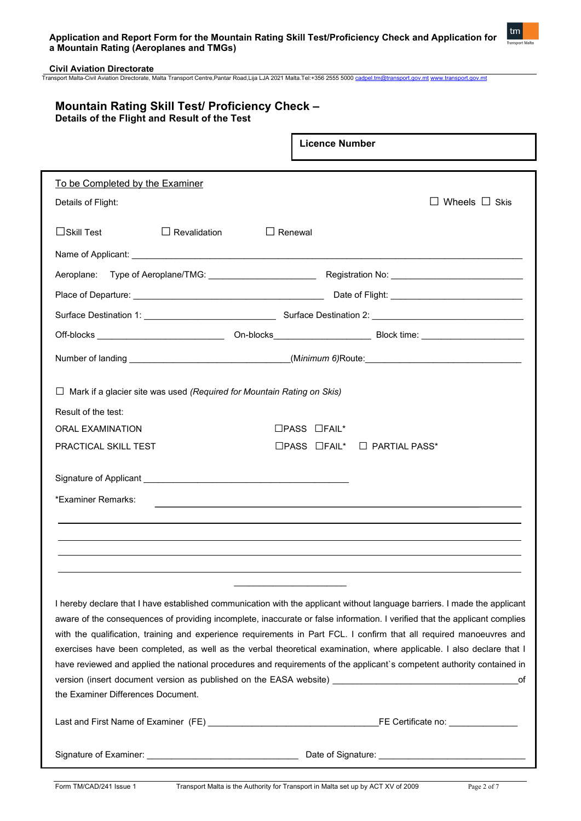

Г

# **Mountain Rating Skill Test/ Proficiency Check – Details of the Flight and Result of the Test**

|                                                                                                                                                                                                                                                                                                                                                                                                                                                                                                                                                                                                                                    | <b>Licence Number</b>                         |  |  |
|------------------------------------------------------------------------------------------------------------------------------------------------------------------------------------------------------------------------------------------------------------------------------------------------------------------------------------------------------------------------------------------------------------------------------------------------------------------------------------------------------------------------------------------------------------------------------------------------------------------------------------|-----------------------------------------------|--|--|
| To be Completed by the Examiner                                                                                                                                                                                                                                                                                                                                                                                                                                                                                                                                                                                                    |                                               |  |  |
| Details of Flight:                                                                                                                                                                                                                                                                                                                                                                                                                                                                                                                                                                                                                 | $\Box$ Wheels $\Box$ Skis                     |  |  |
|                                                                                                                                                                                                                                                                                                                                                                                                                                                                                                                                                                                                                                    |                                               |  |  |
| $\Box$ Skill Test<br>$\Box$ Revalidation<br>$\Box$ Renewal                                                                                                                                                                                                                                                                                                                                                                                                                                                                                                                                                                         |                                               |  |  |
|                                                                                                                                                                                                                                                                                                                                                                                                                                                                                                                                                                                                                                    |                                               |  |  |
|                                                                                                                                                                                                                                                                                                                                                                                                                                                                                                                                                                                                                                    |                                               |  |  |
|                                                                                                                                                                                                                                                                                                                                                                                                                                                                                                                                                                                                                                    |                                               |  |  |
|                                                                                                                                                                                                                                                                                                                                                                                                                                                                                                                                                                                                                                    |                                               |  |  |
|                                                                                                                                                                                                                                                                                                                                                                                                                                                                                                                                                                                                                                    |                                               |  |  |
| Number of landing __________________________________(Minimum 6)Route: ______________________________                                                                                                                                                                                                                                                                                                                                                                                                                                                                                                                               |                                               |  |  |
| $\Box$ Mark if a glacier site was used (Required for Mountain Rating on Skis)<br>Result of the test:                                                                                                                                                                                                                                                                                                                                                                                                                                                                                                                               |                                               |  |  |
| <b>ORAL EXAMINATION</b>                                                                                                                                                                                                                                                                                                                                                                                                                                                                                                                                                                                                            | $\Box$ PASS $\Box$ FAIL*                      |  |  |
| <b>PRACTICAL SKILL TEST</b>                                                                                                                                                                                                                                                                                                                                                                                                                                                                                                                                                                                                        | $\Box$ PASS $\Box$ FAIL* $\Box$ PARTIAL PASS* |  |  |
| *Examiner Remarks:                                                                                                                                                                                                                                                                                                                                                                                                                                                                                                                                                                                                                 |                                               |  |  |
| I hereby declare that I have established communication with the applicant without language barriers. I made the applicant<br>aware of the consequences of providing incomplete, inaccurate or false information. I verified that the applicant complies<br>with the qualification, training and experience requirements in Part FCL. I confirm that all required manoeuvres and<br>exercises have been completed, as well as the verbal theoretical examination, where applicable. I also declare that I<br>have reviewed and applied the national procedures and requirements of the applicant's competent authority contained in |                                               |  |  |
| version (insert document version as published on the EASA website) _________________________________<br>оf                                                                                                                                                                                                                                                                                                                                                                                                                                                                                                                         |                                               |  |  |
| the Examiner Differences Document.                                                                                                                                                                                                                                                                                                                                                                                                                                                                                                                                                                                                 |                                               |  |  |
|                                                                                                                                                                                                                                                                                                                                                                                                                                                                                                                                                                                                                                    |                                               |  |  |
|                                                                                                                                                                                                                                                                                                                                                                                                                                                                                                                                                                                                                                    |                                               |  |  |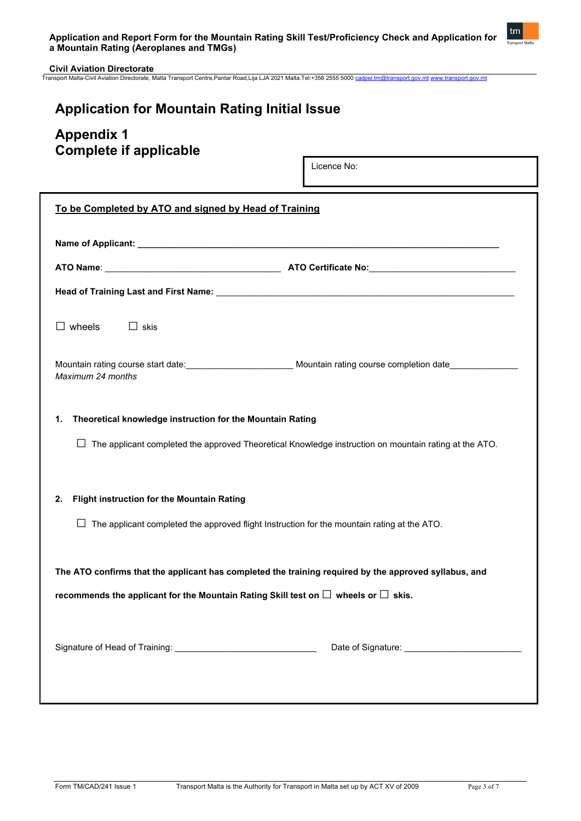

# **Application for Mountain Rating Initial Issue**

# **Appendix 1 Complete if applicable**

Licence No:

| To be Completed by ATO and signed by Head of Training                                                                                                                           |  |  |  |
|---------------------------------------------------------------------------------------------------------------------------------------------------------------------------------|--|--|--|
|                                                                                                                                                                                 |  |  |  |
|                                                                                                                                                                                 |  |  |  |
|                                                                                                                                                                                 |  |  |  |
| $\Box$ wheels<br>$\Box$ skis                                                                                                                                                    |  |  |  |
| Maximum 24 months                                                                                                                                                               |  |  |  |
| Theoretical knowledge instruction for the Mountain Rating<br>1.<br>$\Box$ The applicant completed the approved Theoretical Knowledge instruction on mountain rating at the ATO. |  |  |  |
| Flight instruction for the Mountain Rating<br>2.                                                                                                                                |  |  |  |
| $\Box$ The applicant completed the approved flight Instruction for the mountain rating at the ATO.                                                                              |  |  |  |
| The ATO confirms that the applicant has completed the training required by the approved syllabus, and                                                                           |  |  |  |
| recommends the applicant for the Mountain Rating Skill test on $\Box$ wheels or $\Box$ skis.                                                                                    |  |  |  |
|                                                                                                                                                                                 |  |  |  |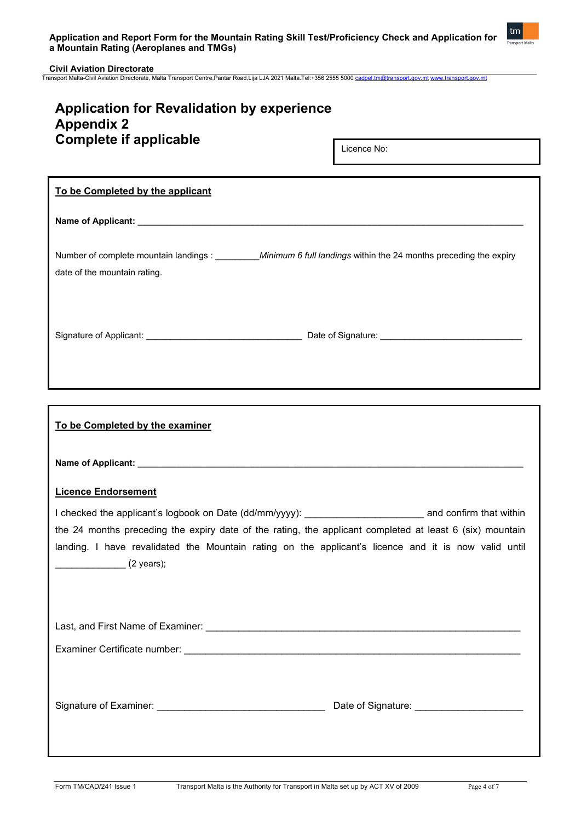

| <b>Application for Revalidation by experience</b><br><b>Appendix 2</b><br><b>Complete if applicable</b>                                                                                                                                                                                                                                              |  |  |  |
|------------------------------------------------------------------------------------------------------------------------------------------------------------------------------------------------------------------------------------------------------------------------------------------------------------------------------------------------------|--|--|--|
| Licence No:                                                                                                                                                                                                                                                                                                                                          |  |  |  |
| To be Completed by the applicant                                                                                                                                                                                                                                                                                                                     |  |  |  |
|                                                                                                                                                                                                                                                                                                                                                      |  |  |  |
| Number of complete mountain landings : _________________________Minimum 6 full landings within the 24 months preceding the expiry<br>date of the mountain rating.                                                                                                                                                                                    |  |  |  |
|                                                                                                                                                                                                                                                                                                                                                      |  |  |  |
|                                                                                                                                                                                                                                                                                                                                                      |  |  |  |
| To be Completed by the examiner                                                                                                                                                                                                                                                                                                                      |  |  |  |
|                                                                                                                                                                                                                                                                                                                                                      |  |  |  |
| <b>Licence Endorsement</b>                                                                                                                                                                                                                                                                                                                           |  |  |  |
| I checked the applicant's logbook on Date (dd/mm/yyyy): ________________________ and confirm that within<br>the 24 months preceding the expiry date of the rating, the applicant completed at least 6 (six) mountain<br>landing. I have revalidated the Mountain rating on the applicant's licence and it is now valid until<br>$(2 \text{ years});$ |  |  |  |
|                                                                                                                                                                                                                                                                                                                                                      |  |  |  |
|                                                                                                                                                                                                                                                                                                                                                      |  |  |  |
|                                                                                                                                                                                                                                                                                                                                                      |  |  |  |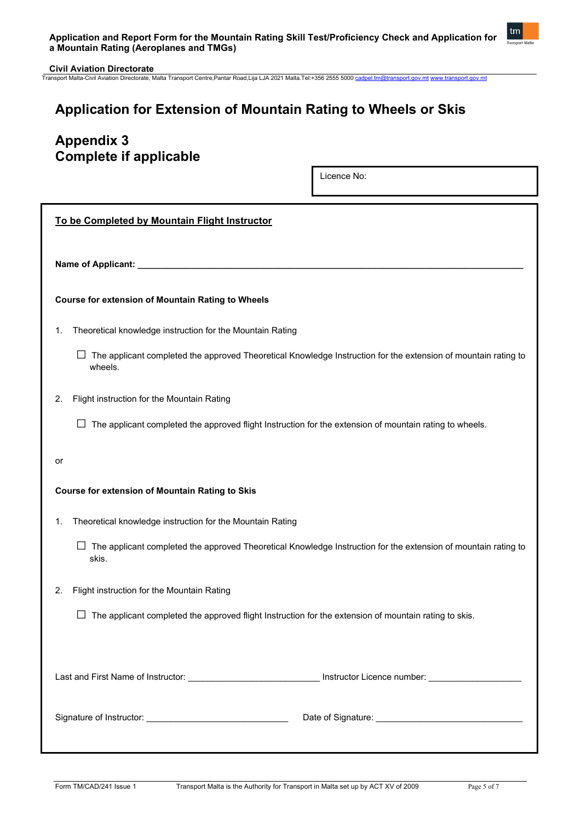

# **Application for Extension of Mountain Rating to Wheels or Skis**

# **Appendix 3 Complete if applicable**

Licence No:

| To be Completed by Mountain Flight Instructor                                                                                |  |  |
|------------------------------------------------------------------------------------------------------------------------------|--|--|
| Name of Applicant: _______________                                                                                           |  |  |
| <b>Course for extension of Mountain Rating to Wheels</b>                                                                     |  |  |
| Theoretical knowledge instruction for the Mountain Rating<br>1.                                                              |  |  |
| The applicant completed the approved Theoretical Knowledge Instruction for the extension of mountain rating to<br>wheels.    |  |  |
| Flight instruction for the Mountain Rating<br>2.                                                                             |  |  |
| The applicant completed the approved flight Instruction for the extension of mountain rating to wheels.<br>⊔                 |  |  |
| or                                                                                                                           |  |  |
| <b>Course for extension of Mountain Rating to Skis</b>                                                                       |  |  |
| Theoretical knowledge instruction for the Mountain Rating<br>$\mathbf{1}$ .                                                  |  |  |
| The applicant completed the approved Theoretical Knowledge Instruction for the extension of mountain rating to<br>ப<br>skis. |  |  |
| Flight instruction for the Mountain Rating<br>2.                                                                             |  |  |
| The applicant completed the approved flight Instruction for the extension of mountain rating to skis.<br>⊔                   |  |  |
|                                                                                                                              |  |  |
| Last and First Name of Instructor: __________________________________ Instructor Licence number: ______________              |  |  |
|                                                                                                                              |  |  |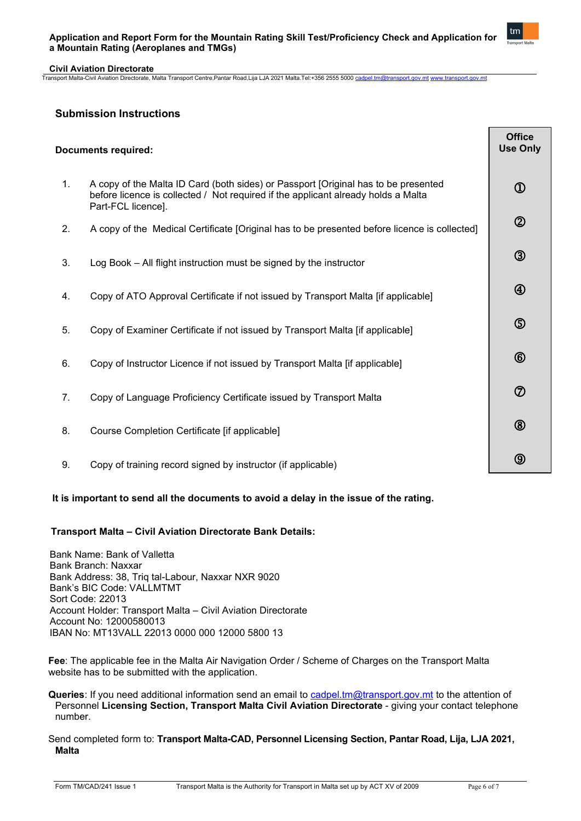## **Application and Report Form for the Mountain Rating Skill Test/Proficiency Check and Application for a Mountain Rating (Aeroplanes and TMGs)**



#### **Civil Aviation Directorate** Transport Malta-Civil Aviation Directorate, Malta Transport Centre,Pantar Road,Lija LJA 2021 Malta.Tel:+356 2555 5000 [cadpel.tm@transport.gov.mt](mailto:cadpel.tm@transport.gov.mt) [www.transport.gov.mt](http://www.transport.gov.mt/)

# **Submission Instructions**

| <b>Documents required:</b> |                                                                                                                                                                                               | <b>Office</b><br><b>Use Only</b> |
|----------------------------|-----------------------------------------------------------------------------------------------------------------------------------------------------------------------------------------------|----------------------------------|
| 1.                         | A copy of the Malta ID Card (both sides) or Passport [Original has to be presented<br>before licence is collected / Not required if the applicant already holds a Malta<br>Part-FCL licence]. | $^\circledR$                     |
| 2.                         | A copy of the Medical Certificate [Original has to be presented before licence is collected]                                                                                                  | $^{\circledR}$                   |
| 3.                         | Log Book - All flight instruction must be signed by the instructor                                                                                                                            | $\circledS$                      |
| 4.                         | Copy of ATO Approval Certificate if not issued by Transport Malta [if applicable]                                                                                                             | $\bigcirc$                       |
| 5.                         | Copy of Examiner Certificate if not issued by Transport Malta [if applicable]                                                                                                                 | $\circledS$                      |
| 6.                         | Copy of Instructor Licence if not issued by Transport Malta [if applicable]                                                                                                                   | $^{\circledR}$                   |
| 7.                         | Copy of Language Proficiency Certificate issued by Transport Malta                                                                                                                            | $\circledcirc$                   |
| 8.                         | Course Completion Certificate [if applicable]                                                                                                                                                 | $\circledR$                      |
| 9.                         | Copy of training record signed by instructor (if applicable)                                                                                                                                  | $\circledcirc$                   |

# **It is important to send all the documents to avoid a delay in the issue of the rating.**

# **Transport Malta – Civil Aviation Directorate Bank Details:**

 Bank Name: Bank of Valletta Bank Branch: Naxxar Bank Address: 38, Triq tal-Labour, Naxxar NXR 9020 Bank's BIC Code: VALLMTMT Sort Code: 22013 Account Holder: Transport Malta – Civil Aviation Directorate Account No: 12000580013 IBAN No: MT13VALL 22013 0000 000 12000 5800 13

**Fee**: The applicable fee in the Malta Air Navigation Order / Scheme of Charges on the Transport Malta website has to be submitted with the application.

- **Queries**: If you need additional information send an email to [cadpel.tm@transport.gov.mt](mailto:cadpel.tm@transport.gov.mt) to the attention of Personnel **Licensing Section, Transport Malta Civil Aviation Directorate** - giving your contact telephone number.
- Send completed form to: **Transport Malta-CAD, Personnel Licensing Section, Pantar Road, Lija, LJA 2021, Malta**